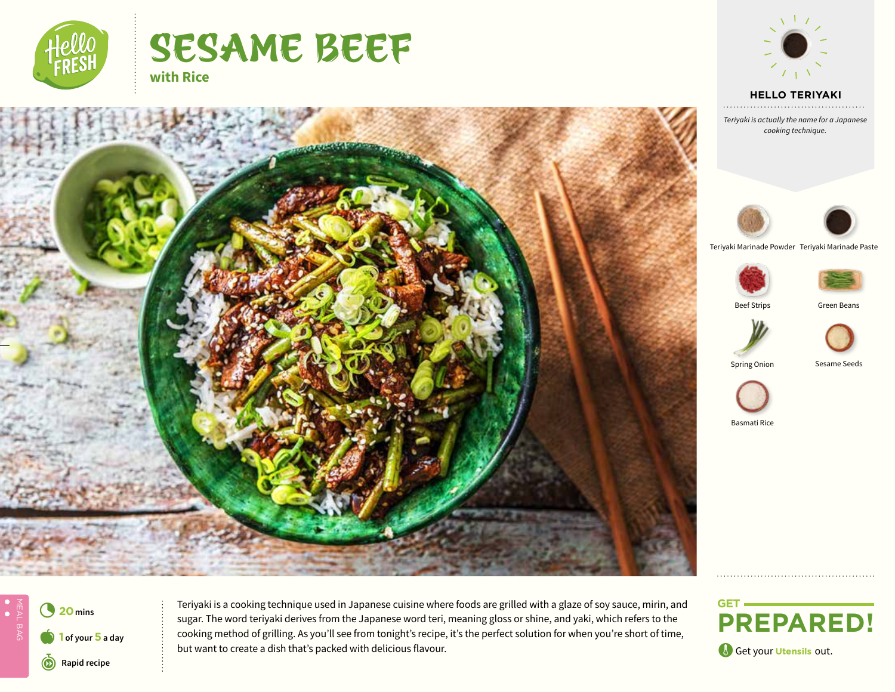

# SESAME BEEF **with Rice**



 **HELLO TEXT HELLO TERIYAKI**

*Text Teriyaki is actually the name for a Japanese cooking technique.*





Teriyaki Marinade Powder Teriyaki Marinade Paste



Beef Strips **Green Beans** 





Spring Onion Sesame Seeds





Basmati Rice



**1 20** mins **Teriyaki is a cooking technique used in Japanese cuisine where foods are grilled with a glaze of soy sauce, mirin, and <b>20** mins sugar. The word teriyaki derives from the Japanese word teri, meaning gloss or shine, and yaki, which refers to the cooking method of grilling. As you'll see from tonight's recipe, it's the perfect solution for when you're short of time, a but want to create a dish that's packed with delicious flavour.